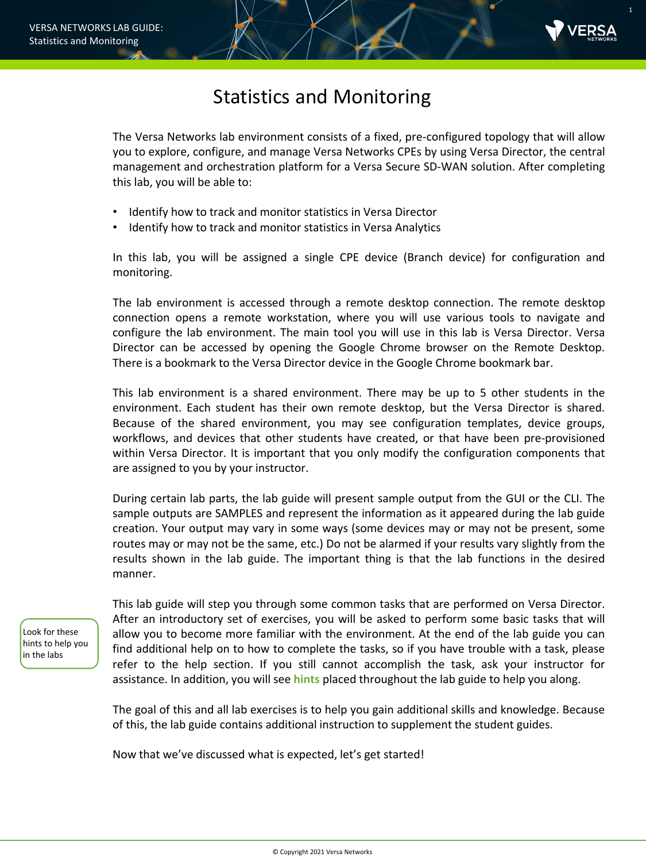

1

## Statistics and Monitoring

The Versa Networks lab environment consists of a fixed, pre-configured topology that will allow you to explore, configure, and manage Versa Networks CPEs by using Versa Director, the central management and orchestration platform for a Versa Secure SD-WAN solution. After completing this lab, you will be able to:

- Identify how to track and monitor statistics in Versa Director
- Identify how to track and monitor statistics in Versa Analytics

In this lab, you will be assigned a single CPE device (Branch device) for configuration and monitoring.

The lab environment is accessed through a remote desktop connection. The remote desktop connection opens a remote workstation, where you will use various tools to navigate and configure the lab environment. The main tool you will use in this lab is Versa Director. Versa Director can be accessed by opening the Google Chrome browser on the Remote Desktop. There is a bookmark to the Versa Director device in the Google Chrome bookmark bar.

This lab environment is a shared environment. There may be up to 5 other students in the environment. Each student has their own remote desktop, but the Versa Director is shared. Because of the shared environment, you may see configuration templates, device groups, workflows, and devices that other students have created, or that have been pre-provisioned within Versa Director. It is important that you only modify the configuration components that are assigned to you by your instructor.

During certain lab parts, the lab guide will present sample output from the GUI or the CLI. The sample outputs are SAMPLES and represent the information as it appeared during the lab guide creation. Your output may vary in some ways (some devices may or may not be present, some routes may or may not be the same, etc.) Do not be alarmed if your results vary slightly from the results shown in the lab guide. The important thing is that the lab functions in the desired manner.

Look for these hints to help you in the labs

This lab guide will step you through some common tasks that are performed on Versa Director. After an introductory set of exercises, you will be asked to perform some basic tasks that will allow you to become more familiar with the environment. At the end of the lab guide you can find additional help on to how to complete the tasks, so if you have trouble with a task, please refer to the help section. If you still cannot accomplish the task, ask your instructor for assistance. In addition, you will see **hints** placed throughout the lab guide to help you along.

The goal of this and all lab exercises is to help you gain additional skills and knowledge. Because of this, the lab guide contains additional instruction to supplement the student guides.

Now that we've discussed what is expected, let's get started!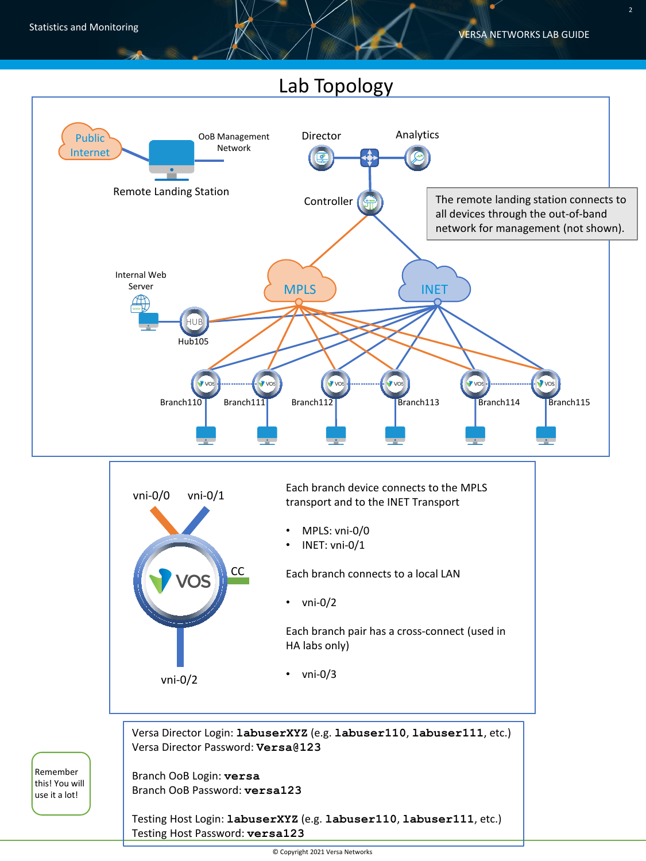## Lab Topology



Branch OoB Login: **versa** Branch OoB Password: **versa123**

Remember this! You will use it a lot!

> Testing Host Login: **labuserXYZ** (e.g. **labuser110**, **labuser111**, etc.) Testing Host Password: **versa123**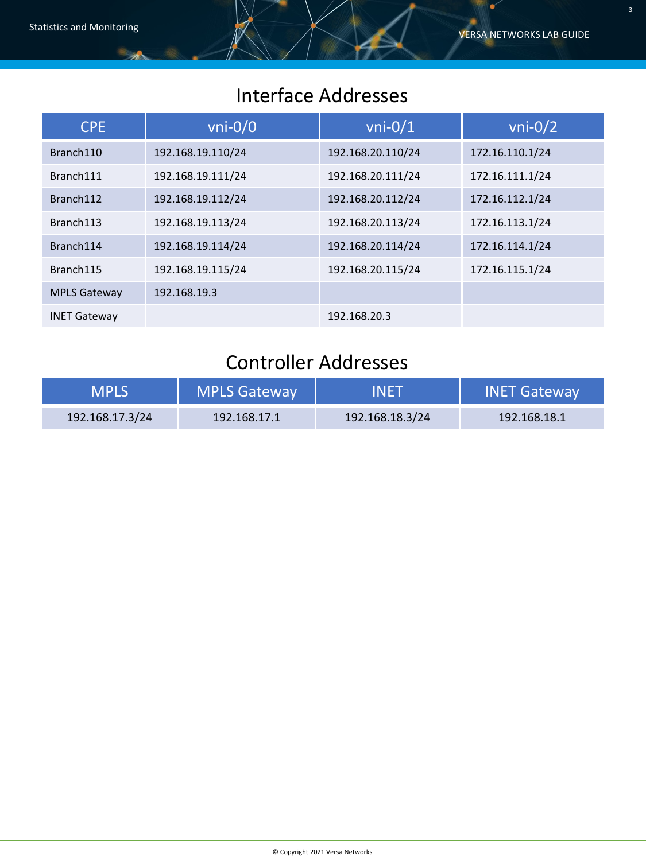# Interface Addresses

| <b>CPE</b>          | $vni-0/0$         | $vni-0/1$         | $vni-0/2$       |
|---------------------|-------------------|-------------------|-----------------|
| Branch110           | 192.168.19.110/24 | 192.168.20.110/24 | 172.16.110.1/24 |
| Branch111           | 192.168.19.111/24 | 192.168.20.111/24 | 172.16.111.1/24 |
| Branch112           | 192.168.19.112/24 | 192.168.20.112/24 | 172.16.112.1/24 |
| Branch113           | 192.168.19.113/24 | 192.168.20.113/24 | 172.16.113.1/24 |
| Branch114           | 192.168.19.114/24 | 192.168.20.114/24 | 172.16.114.1/24 |
| Branch115           | 192.168.19.115/24 | 192.168.20.115/24 | 172.16.115.1/24 |
| <b>MPLS Gateway</b> | 192.168.19.3      |                   |                 |
| <b>INET Gateway</b> |                   | 192.168.20.3      |                 |

# Controller Addresses

| <b>MPLS</b>     | <b>MPLS Gateway</b> | 'INET           | <b>INET Gateway</b> |
|-----------------|---------------------|-----------------|---------------------|
| 192.168.17.3/24 | 192.168.17.1        | 192.168.18.3/24 | 192.168.18.1        |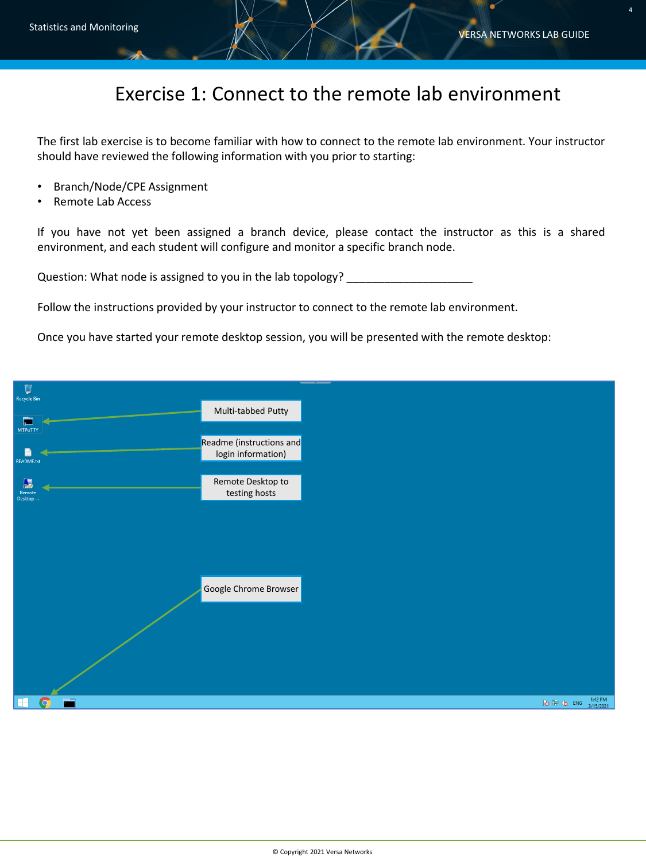4

## Exercise 1: Connect to the remote lab environment

The first lab exercise is to become familiar with how to connect to the remote lab environment. Your instructor should have reviewed the following information with you prior to starting:

- Branch/Node/CPE Assignment
- Remote Lab Access

If you have not yet been assigned a branch device, please contact the instructor as this is a shared environment, and each student will configure and monitor a specific branch node.

Question: What node is assigned to you in the lab topology? \_\_\_\_\_\_\_\_\_\_\_\_\_\_\_\_\_\_\_\_

Follow the instructions provided by your instructor to connect to the remote lab environment.

Once you have started your remote desktop session, you will be presented with the remote desktop:

| U                 |                                                |  |
|-------------------|------------------------------------------------|--|
| Recycle Bin       |                                                |  |
| $\blacksquare$    | Multi-tabbed Putty                             |  |
| <b>MTPuTTY</b>    |                                                |  |
|                   | Readme (instructions and<br>login information) |  |
| <b>README.txt</b> |                                                |  |
| $\mathbf{R}$      | Remote Desktop to                              |  |
| Remote<br>Desktop | testing hosts                                  |  |
|                   |                                                |  |
|                   |                                                |  |
|                   |                                                |  |
|                   |                                                |  |
|                   | Google Chrome Browser                          |  |
|                   |                                                |  |
|                   |                                                |  |
|                   |                                                |  |
|                   |                                                |  |
|                   |                                                |  |
|                   |                                                |  |
|                   |                                                |  |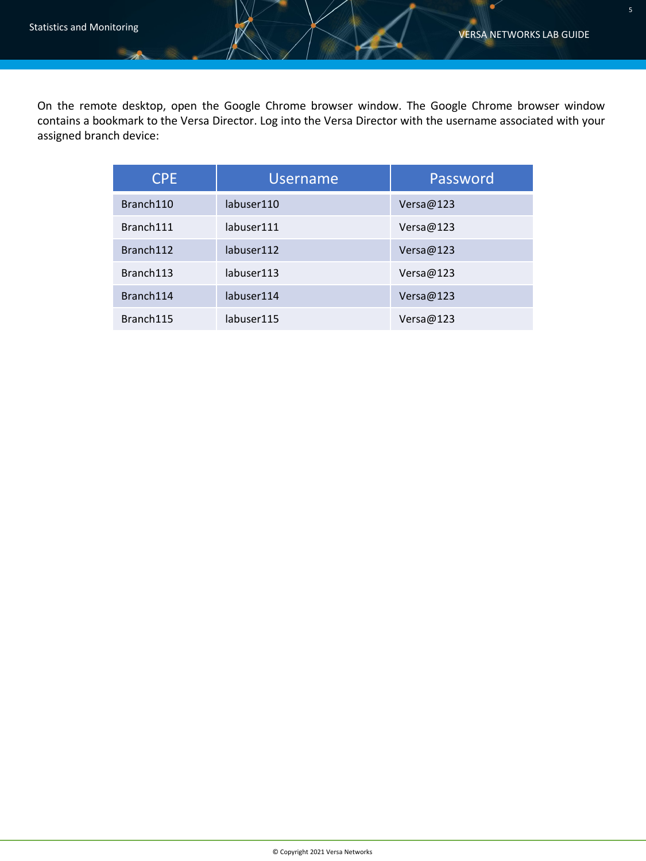$\bullet$ 

On the remote desktop, open the Google Chrome browser window. The Google Chrome browser window contains a bookmark to the Versa Director. Log into the Versa Director with the username associated with your assigned branch device:

| <b>CPE</b> | <b>Username</b> | Password  |
|------------|-----------------|-----------|
| Branch110  | labuser110      | Versa@123 |
| Branch111  | labuser111      | Versa@123 |
| Branch112  | labuser112      | Versa@123 |
| Branch113  | labuser113      | Versa@123 |
| Branch114  | labuser114      | Versa@123 |
| Branch115  | labuser115      | Versa@123 |